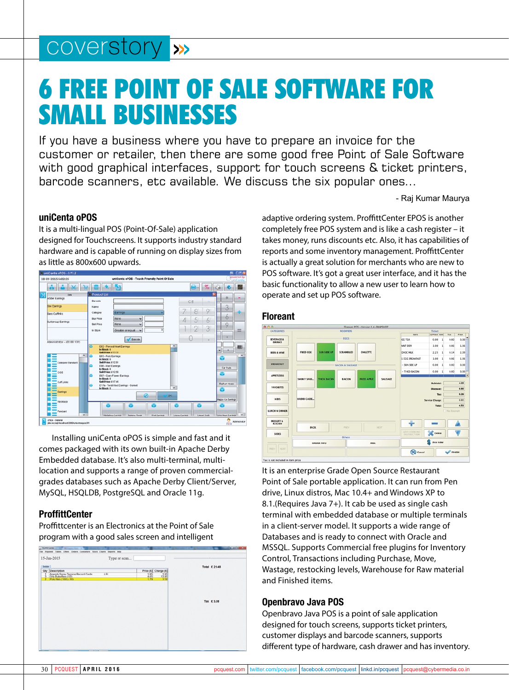## coverstory >>>

# 6 Free Point of Sale Software for Small Businesses

If you have a business where you have to prepare an invoice for the customer or retailer, then there are some good free Point of Sale Software with good graphical interfaces, support for touch screens & ticket printers, barcode scanners, etc available. We discuss the six popular ones...

- Raj Kumar Maurya

## **uniCenta oPOS**

It is a multi-lingual POS (Point-Of-Sale) application designed for Touchscreens. It supports industry standard hardware and is capable of running on display sizes from as little as 800x600 upwards.



Installing uniCenta oPOS is simple and fast and it comes packaged with its own built-in Apache Derby Embedded database. It's also multi-terminal, multilocation and supports a range of proven commercialgrades databases such as Apache Derby Client/Server, MySQL, HSQLDB, PostgreSQL and Oracle 11g.

## **ProffittCenter**

Proffittcenter is an Electronics at the Point of Sale program with a good sales screen and intelligent

| 15-Jan-2015<br>Type or scan                                                                                                  |                                                         |                  |
|------------------------------------------------------------------------------------------------------------------------------|---------------------------------------------------------|------------------|
| Debbie<br>oty<br>Description<br>1.91<br>Agenda Soray Tanning Record Cards<br>Orly Butterflies (112)<br>Poly Hats (100) (130) | Price (C) Charge (C)<br>$\frac{395}{405}$<br>금읎<br>i yo | Total £ 21.48    |
|                                                                                                                              |                                                         | <b>Tax £3.58</b> |
|                                                                                                                              |                                                         |                  |
|                                                                                                                              |                                                         |                  |

adaptive ordering system. ProffittCenter EPOS is another completely free POS system and is like a cash register – it takes money, runs discounts etc. Also, it has capabilities of reports and some inventory management. ProffittCenter is actually a great solution for merchants who are new to POS software. It's got a great user interface, and it has the basic functionality to allow a new user to learn how to operate and set up POS software.

#### **Floreant**



It is an enterprise Grade Open Source Restaurant Point of Sale portable application. It can run from Pen drive, Linux distros, Mac 10.4+ and Windows XP to 8.1.(Requires Java 7+). It cab be used as single cash terminal with embedded database or multiple terminals in a client-server model. It supports a wide range of Databases and is ready to connect with Oracle and MSSQL. Supports Commercial free plugins for Inventory Control, Transactions including Purchase, Move, Wastage, restocking levels, Warehouse for Raw material and Finished items.

#### **Openbravo Java POS**

Openbravo Java POS is a point of sale application designed for touch screens, supports ticket printers, customer displays and barcode scanners, supports different type of hardware, cash drawer and has inventory.